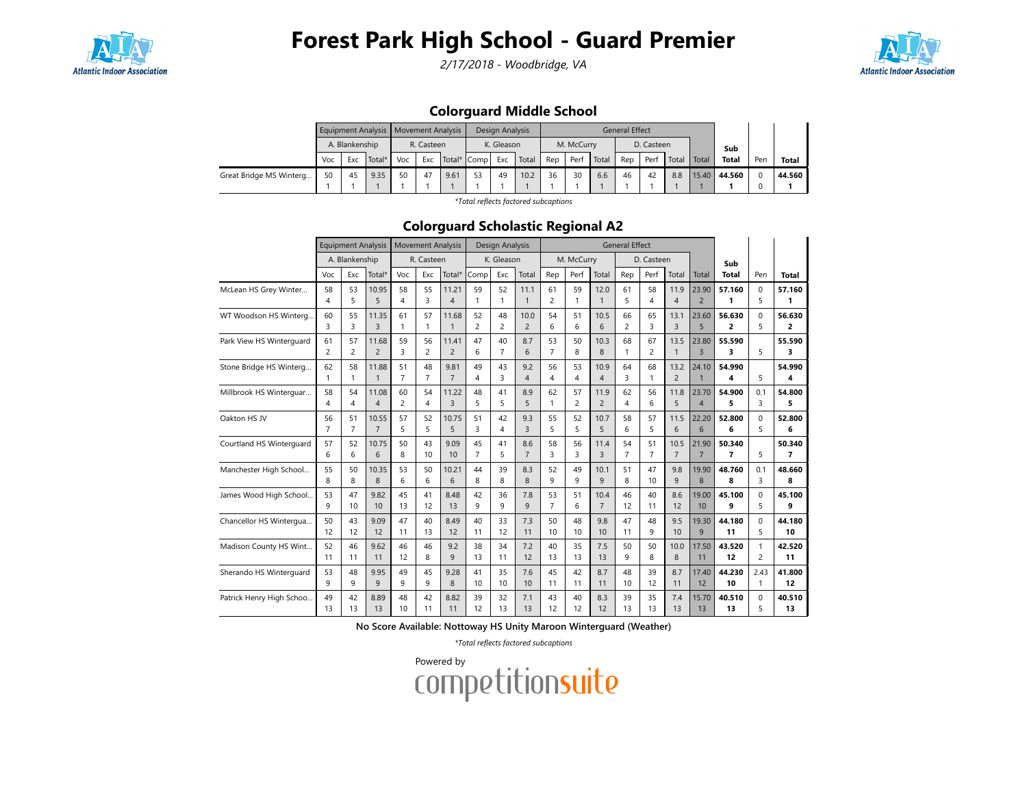

2/17/2018 - Woodbridge, VA



### Colorguard Middle School

|                         |     |                | Equipment Analysis   Movement Analysis |     |            |             |    | Design Analysis |       |     |            |       | <b>General Effect</b> |            |       |       |              |     |        |
|-------------------------|-----|----------------|----------------------------------------|-----|------------|-------------|----|-----------------|-------|-----|------------|-------|-----------------------|------------|-------|-------|--------------|-----|--------|
|                         |     | A. Blankenship |                                        |     | R. Casteen |             |    | K. Gleason      |       |     | M. McCurry |       |                       | D. Casteen |       |       | Sub          |     |        |
|                         | Voc | Exc            | Total*                                 | Voc | Exc        | Total* Comp |    | Exc             | Total | Rep | Perf       | Total | Rep                   | Perf       | Total | Total | <b>Total</b> | Per | Total  |
| Great Bridge MS Winterg | 50  | 45             | 9.35                                   | 50  | 47         | 9.61        | 53 | 49              | 10.2  | 36  | 30         | 6.6   | 46                    | 42         | 8.8   |       | 15.40 44.560 |     | 44.560 |
|                         |     |                |                                        |     |            |             |    |                 |       |     |            |       |                       |            |       |       |              |     |        |

\*Total reflects factored subcaptions

#### Colorguard Scholastic Regional A2

|                          |                      | <b>Equipment Analysis</b> |                         |                      | <b>Movement Analysis</b> |                |                | Design Analysis |                |                    |            |                        | <b>General Effect</b> |                |                |                         |                |                |             |
|--------------------------|----------------------|---------------------------|-------------------------|----------------------|--------------------------|----------------|----------------|-----------------|----------------|--------------------|------------|------------------------|-----------------------|----------------|----------------|-------------------------|----------------|----------------|-------------|
|                          |                      | A. Blankenship            |                         |                      | R. Casteen               |                |                | K. Gleason      |                |                    | M. McCurry |                        |                       | D. Casteen     |                |                         | Sub            |                |             |
|                          | Voc                  | Exc                       | Total*                  | Voc                  | Exc                      | Total*         | Comp           | Exc             | Total          | Rep                | Perf       | Total                  | Rep                   | Perf           | Total          | Total                   | Total          | Pen            | Total       |
| McLean HS Grey Winter    | 58                   | 53                        | 10.95                   | 58                   | 55                       | 11.21          | 59             | 52              | 11.1           | 61                 | 59         | 12.0                   | 61                    | 58             | 11.9           | 23.90                   | 57.160         | 0              | 57.160      |
|                          | $\overline{4}$       | 5                         | 5                       | $\overline{4}$       | 3                        | 4              | $\overline{1}$ |                 | $\mathbf{1}$   | $\overline{c}$     | 1          | $\overline{1}$         | 5                     | 4              | 4              | $\overline{2}$          | 1              | 5              | 1           |
| WT Woodson HS Winterg    | 60                   | 55                        | 11.35                   | 61                   | 57                       | 11.68          | 52             | 48              | 10.0           | 54                 | 51         | 10.5                   | 66                    | 65             | 13.1           | 23.60                   | 56.630         | $\Omega$       | 56.630      |
|                          | 3                    | 3                         | 3                       | $\mathbf{1}$         | 1                        | $\mathbf{1}$   | $\overline{c}$ | $\overline{c}$  | $\overline{2}$ | 6                  | 6          | 6                      | $\overline{c}$        | 3              | 3              | 5                       | 2              | 5              | 2           |
| Park View HS Winterguard | 61                   | 57                        | 11.68                   | 59                   | 56                       | 11.41          | 47             | 40              | 8.7            | 53                 | 50         | 10.3                   | 68                    | 67             | 13.5           | 23.80                   | 55.590         |                | 55.590      |
|                          | $\overline{c}$       | 2                         | $\overline{2}$          | 3                    | 2                        | $\overline{2}$ | 6              | $\overline{7}$  | 6              | $\overline{7}$     | 8          | 8                      | 1                     | $\overline{c}$ | $\mathbf{1}$   | $\overline{3}$          | 3              | 5              | 3           |
| Stone Bridge HS Winterg  | 62                   | 58                        | 11.88                   | 51                   | 48                       | 9.81           | 49             | 43              | 9.2            | 56                 | 53         | 10.9                   | 64                    | 68             | 13.2           | 24.10                   | 54.990         |                | 54.990      |
|                          | $\mathbf{1}$         |                           | $\mathbf{1}$            | $\overline{7}$       | $\overline{7}$           | $\overline{7}$ | $\overline{4}$ | 3               | 4              | $\overline{4}$     | 4          | $\overline{4}$         | 3                     | 1              | $\overline{c}$ |                         | 4              | 5              | 4           |
| Millbrook HS Winterquar  | 58<br>4              | 54<br>4                   | 11.08<br>4              | 60<br>$\overline{c}$ | 54<br>4                  | 11.22<br>3     | 48<br>5        | 41<br>5         | 8.9<br>5       | 62<br>$\mathbf{1}$ | 57<br>2    | 11.9<br>$\overline{c}$ | 62<br>4               | 56<br>6        | 11.8<br>5      | 23.70<br>$\overline{4}$ | 54.900<br>5    | 0.1<br>3       | 54.800<br>5 |
|                          |                      |                           |                         |                      |                          |                |                |                 |                |                    |            |                        |                       |                |                |                         |                |                |             |
| Oakton HS JV             | 56<br>$\overline{7}$ | 51<br>$\overline{7}$      | 10.55<br>$\overline{7}$ | 57<br>5              | 52<br>5                  | 10.75<br>5     | 51<br>3        | 42<br>4         | 9.3<br>3       | 55<br>5            | 52<br>5    | 10.7<br>5              | 58<br>6               | 57<br>5        | 11.5<br>6      | 22.20<br>6              | 52.800<br>6    | $\Omega$<br>5  | 52.800<br>6 |
| Courtland HS Winterguard | 57                   | 52                        | 10.75                   | 50                   | 43                       | 9.09           | 45             | 41              | 8.6            | 58                 | 56         | 11.4                   | 54                    | 51             | 10.5           | 21.90                   | 50.340         |                | 50.340      |
|                          | 6                    | 6                         | 6                       | 8                    | 10                       | 10             | $\overline{7}$ | 5               | $\overline{7}$ | $\overline{3}$     | 3          | 3                      | $\overline{7}$        | $\overline{7}$ | $\overline{7}$ | $\overline{7}$          | $\overline{7}$ | 5              | 7           |
| Manchester High School   | 55                   | 50                        | 10.35                   | 53                   | 50                       | 10.21          | 44             | 39              | 8.3            | 52                 | 49         | 10.1                   | 51                    | 47             | 9.8            | 19.90                   | 48.760         | 0.1            | 48.660      |
|                          | 8                    | 8                         | 8                       | 6                    | 6                        | 6              | 8              | 8               | 8              | 9                  | 9          | 9                      | 8                     | 10             | 9              | $\overline{8}$          | 8              | 3              | 8           |
| James Wood High School   | 53                   | 47                        | 9.82                    | 45                   | 41                       | 8.48           | 42             | 36              | 7.8            | 53                 | 51         | 10.4                   | 46                    | 40             | 8.6            | 19.00                   | 45.100         | 0              | 45.100      |
|                          | q                    | 10                        | 10                      | 13                   | 12                       | 13             | q              | 9               | 9              | $\overline{7}$     | 6          | $\overline{7}$         | 12                    | 11             | 12             | 10                      | 9              | 5              | 9           |
| Chancellor HS Wintergua  | 50                   | 43                        | 9.09                    | 47                   | 40                       | 8.49           | 40             | 33              | 7.3            | 50                 | 48         | 9.8                    | 47                    | 48             | 9.5            | 19.30                   | 44.180         | $\Omega$       | 44.180      |
|                          | 12                   | 12                        | 12                      | 11                   | 13                       | 12             | 11             | 12              | 11             | 10                 | 10         | 10                     | 11                    | 9              | 10             | 9                       | 11             | 5              | 10          |
| Madison County HS Wint   | 52                   | 46                        | 9.62                    | 46                   | 46                       | 9.2            | 38             | 34              | 7.2            | 40                 | 35         | 7.5                    | 50                    | 50             | 10.0           | 17.50                   | 43.520         | $\mathbf{1}$   | 42.520      |
|                          | 11                   | 11                        | 11                      | 12                   | 8                        | 9              | 13             | 11              | 12             | 13                 | 13         | 13                     | 9                     | 8              | 8              | 11                      | 12             | $\overline{2}$ | 11          |
| Sherando HS Winterguard  | 53                   | 48                        | 9.95                    | 49                   | 45                       | 9.28           | 41             | 35              | 7.6            | 45                 | 42         | 8.7                    | 48                    | 39             | 8.7            | 17.40                   | 44.230         | 2.43           | 41.800      |
|                          | 9                    | 9                         | 9                       | 9                    | 9                        | 8              | 10             | 10              | 10             | 11                 | 11         | 11                     | 10                    | 12             | 11             | 12                      | 10             | $\mathbf{1}$   | 12          |
| Patrick Henry High Schoo | 49                   | 42                        | 8.89                    | 48                   | 42                       | 8.82           | 39             | 32              | 7.1            | 43                 | 40         | 8.3                    | 39                    | 35             | 7.4            | 15.70                   | 40.510         | $\Omega$       | 40.510      |
|                          | 13                   | 13                        | 13                      | 10                   | 11                       | 11             | 12             | 13              | 13             | 12                 | 12         | 12                     | 13                    | 13             | 13             | 13                      | 13             | 5              | 13          |

No Score Available: Nottoway HS Unity Maroon Winterguard (Weather)

\*Total reflects factored subcaptions

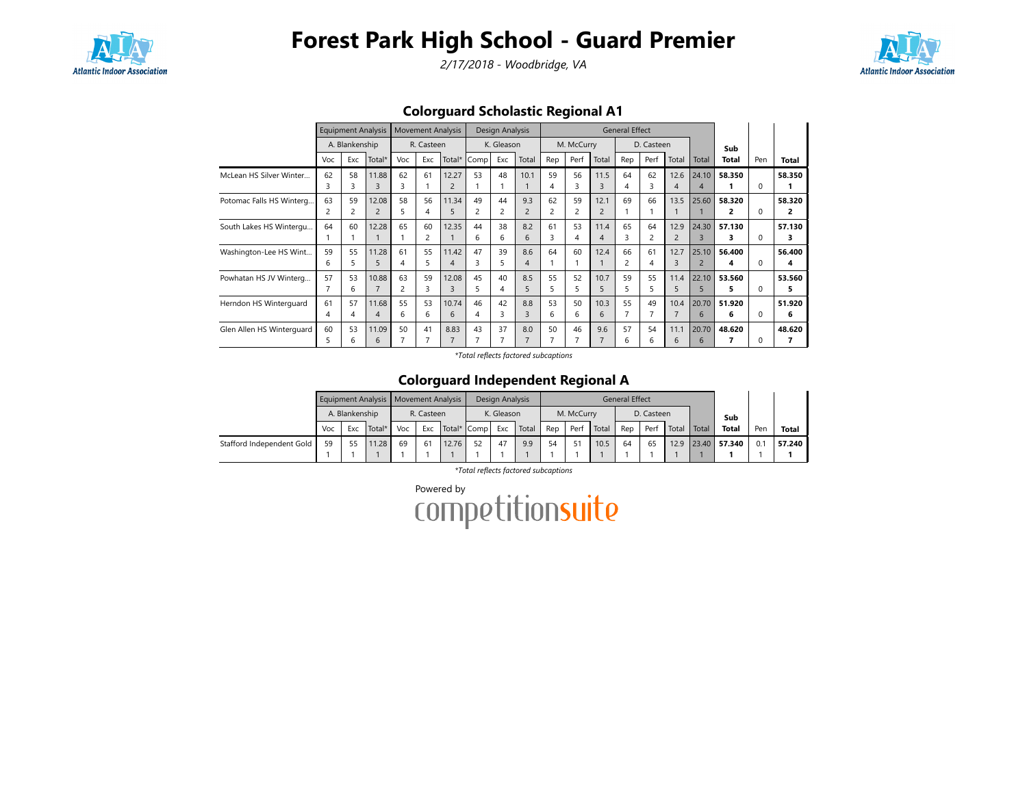

2/17/2018 - Woodbridge, VA



Colorguard Scholastic Regional A1

|                           |     |                | <b>Equipment Analysis</b> |     | <b>Movement Analysis</b> |        |      | Design Analysis |                |     |            |                       | <b>General Effect</b> |            |                |                          |        |              |        |
|---------------------------|-----|----------------|---------------------------|-----|--------------------------|--------|------|-----------------|----------------|-----|------------|-----------------------|-----------------------|------------|----------------|--------------------------|--------|--------------|--------|
|                           |     | A. Blankenship |                           |     | R. Casteen               |        |      | K. Gleason      |                |     | M. McCurry |                       |                       | D. Casteen |                |                          | Sub    |              |        |
|                           | Voc | Exc            | Total*                    | Voc | Exc                      | Total* | Comp | Exc             | Total          | Rep | Perf       | Total                 | Rep                   | Perf       | Total          | Total                    | Total  | Pen          | Total  |
| McLean HS Silver Winter   | 62  | 58             | 11.88                     | 62  | 61                       | 12.27  | 53   | 48              | 10.1           | 59  | 56         | 11.5                  | 64                    | 62         | 12.6           | 24.10                    | 58.350 |              | 58.350 |
|                           | 3   | 3              | 3                         | 3   |                          |        |      |                 |                | 4   | 3          | 3                     |                       | 3          | 4              | 4                        |        | $\Omega$     |        |
| Potomac Falls HS Winterg  | 63  | 59             | 12.08                     | 58  | 56                       | 11.34  | 49   | 44              | 9.3            | 62  | 59         | 12.1                  | 69                    | 66         | 13.5           | 25.60                    | 58.320 |              | 58.320 |
|                           | 2   |                | $\overline{2}$            | 5   | 4                        |        |      | 2               | $\overline{2}$ | 2   | 2          |                       |                       |            |                |                          | 2      | 0            | 2      |
| South Lakes HS Wintergu   | 64  | 60             | 12.28                     | 65  | 60                       | 12.35  | 44   | 38              | 8.2            | 61  | 53         | 11.4                  | 65                    | 64         | 12.9           | 24.30                    | 57.130 |              | 57.130 |
|                           |     |                |                           |     | 2                        |        | 6    | 6               | 6              | 3   | 4          | $\boldsymbol{\Delta}$ | 3                     | 2          | $\overline{2}$ | ς                        | 3      | 0            | з      |
| Washington-Lee HS Wint    | 59  | 55             | 11.28                     | 61  | 55                       | 11.42  | 47   | 39              | 8.6            | 64  | 60         | 12.4                  | 66                    | 61         | 12.7           | 25.10                    | 56.400 |              | 56.400 |
|                           | 6   | 5              | 5                         | 4   | 5                        |        |      | 5               | $\overline{4}$ |     |            |                       |                       | 4          | 3              | $\overline{\phantom{0}}$ | 4      | <sup>0</sup> | 4      |
| Powhatan HS JV Winterg    | 57  | 53             | 10.88                     | 63  | 59                       | 12.08  | 45   | 40              | 8.5            | 55  | 52         | 10.7                  | 59                    | 55         | 11.4           | 22.10                    | 53.560 |              | 53.560 |
|                           |     | 6              | $\overline{7}$            | 2   | 3                        | ξ      |      | 4               | 5              | 5   | 5          | 5                     |                       | 5          | 5              | 5                        | 5      | 0            | 5      |
| Herndon HS Winterguard    | 61  | 57             | 11.68                     | 55  | 53                       | 10.74  | 46   | 42              | 8.8            | 53  | 50         | 10.3                  | 55                    | 49         | 10.4           | 20.70                    | 51.920 |              | 51.920 |
|                           | 4   | 4              | 4                         | 6   | 6                        | 6      |      | 3               | 3              | 6   | 6          | 6                     |                       |            |                | 6                        | 6      | <sup>0</sup> | 6      |
| Glen Allen HS Winterguard | 60  | 53             | 11.09                     | 50  | 41                       | 8.83   | 43   | 37              | 8.0            | 50  | 46         | 9.6                   | 57                    | 54         | 11.1           | 20.70                    | 48.620 |              | 48.620 |
|                           | 5   | h              | 6                         |     |                          |        |      | 7               |                |     |            |                       | 6                     | 6          | 6              | 6                        |        |              | 7      |

\*Total reflects factored subcaptions

#### Colorguard Independent Regional A

|                           |     |                | Equipment Analysis   Movement Analysis |     |            |       |             | Design Analysis |       |     |            |       | <b>General Effect</b> |            |       |       |              |     |        |
|---------------------------|-----|----------------|----------------------------------------|-----|------------|-------|-------------|-----------------|-------|-----|------------|-------|-----------------------|------------|-------|-------|--------------|-----|--------|
|                           |     | A. Blankenship |                                        |     | R. Casteen |       |             | K. Gleason      |       |     | M. McCurry |       |                       | D. Casteen |       |       | Sub          |     |        |
|                           | Voc | Exc            | Total*                                 | Voc | Exc        |       | Total* Comp | Exc             | Total | Rep | Perf       | Total | Rep                   | Perf       | Total | Total | <b>Total</b> | Pen | Total  |
| Stafford Independent Gold | 59  |                | 11.28                                  | 69  | 61         | 12.76 | 52          | 47              | 9.9   | 54  |            | 10.5  | 64                    | 65         | 12.9  |       | 23.40 57.340 | 0.  | 57.240 |
|                           |     |                |                                        |     |            |       |             |                 |       |     |            |       |                       |            |       |       |              |     |        |

\*Total reflects factored subcaptions

Powered by<br>COMPetitionsuite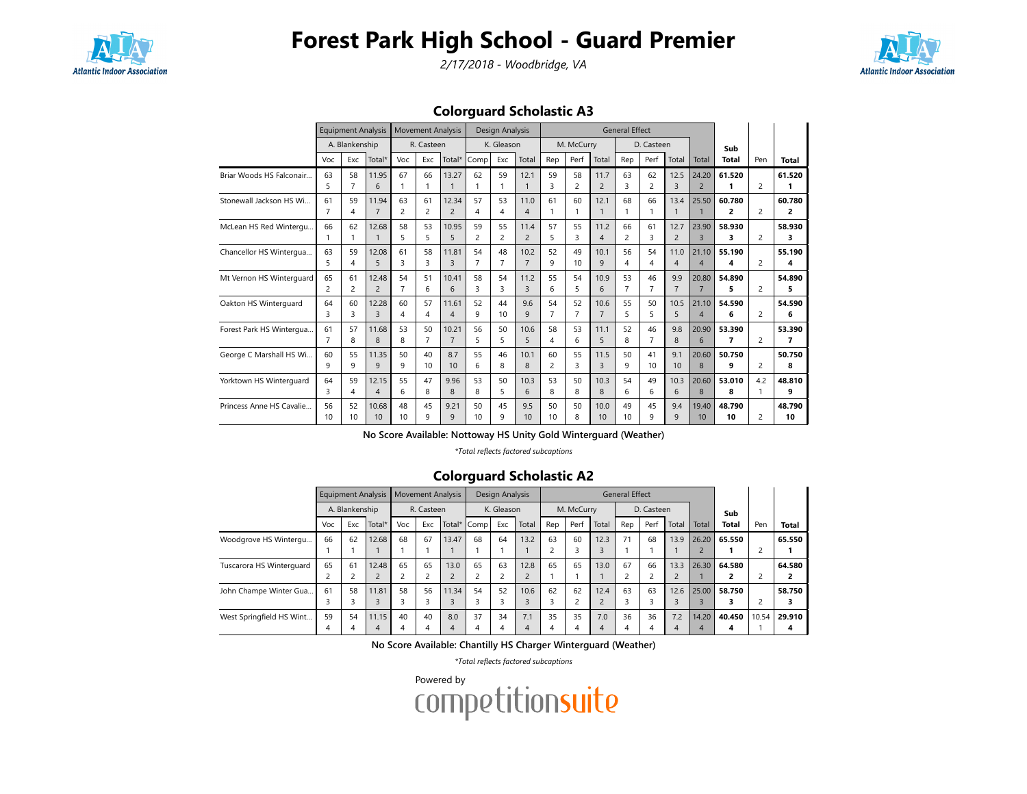

2/17/2018 - Woodbridge, VA



### Colorguard Scholastic A3

|                          |                      | <b>Equipment Analysis</b> |                         |                      | <b>Movement Analysis</b> |                         |                      | Design Analysis      |                        |                      |                      |                        | <b>General Effect</b> |                      |                        |                                   |                                    |                |              |
|--------------------------|----------------------|---------------------------|-------------------------|----------------------|--------------------------|-------------------------|----------------------|----------------------|------------------------|----------------------|----------------------|------------------------|-----------------------|----------------------|------------------------|-----------------------------------|------------------------------------|----------------|--------------|
|                          |                      | A. Blankenship            |                         |                      | R. Casteen               |                         |                      | K. Gleason           |                        |                      | M. McCurry           |                        |                       | D. Casteen           |                        |                                   | Sub                                |                |              |
|                          | Voc                  | Exc                       | Total*                  | Voc                  | Exc                      | Total*                  | Comp                 | Exc                  | Total                  | Rep                  | Perf                 | Total                  | Rep                   | Perf                 | Total                  | Total                             | Total                              | Pen            | Total        |
| Briar Woods HS Falconair | 63<br>5              | 58<br>$\overline{7}$      | 11.95<br>6              | 67                   | 66<br>$\mathbf{1}$       | 13.27                   | 62                   | 59<br>1              | 12.1<br>$\mathbf{1}$   | 59<br>3              | 58<br>$\overline{2}$ | 11.7<br>$\overline{c}$ | 63<br>3               | 62<br>$\overline{2}$ | 12.5<br>3              | 24.20<br>$\overline{2}$           | 61.520<br>1                        | $\overline{2}$ | 61.520<br>1  |
| Stonewall Jackson HS Wi  | 61<br>7              | 59<br>4                   | 11.94<br>$\overline{7}$ | 63<br>$\overline{c}$ | 61<br>$\overline{c}$     | 12.34<br>$\overline{2}$ | 57<br>4              | 53<br>4              | 11.0<br>$\overline{4}$ | 61<br>1              | 60                   | 12.1<br>$\overline{1}$ | 68                    | 66                   | 13.4<br>$\mathbf{1}$   | 25.50                             | 60.780<br>2                        | $\overline{2}$ | 60.780<br>2  |
| McLean HS Red Wintergu   | 66                   | 62<br>1                   | 12.68                   | 58<br>5              | 53<br>5                  | 10.95<br>5              | 59<br>$\overline{2}$ | 55<br>2              | 11.4<br>$\overline{2}$ | 57<br>5              | 55<br>3              | 11.2<br>$\overline{4}$ | 66<br>$\overline{2}$  | 61<br>3              | 12.7<br>$\overline{2}$ | 23.90<br>$\overline{3}$           | 58.930<br>3                        | 2              | 58.930<br>3  |
| Chancellor HS Wintergua  | 63<br>5              | 59<br>4                   | 12.08<br>5              | 61<br>3              | 58<br>3                  | 11.81<br>3              | 54<br>7              | 48<br>$\overline{7}$ | 10.2<br>$\overline{7}$ | 52<br>9              | 49<br>10             | 10.1<br>9              | 56<br>4               | 54<br>4              | 11.0<br>$\overline{4}$ | 21.10<br>$\overline{\mathcal{A}}$ | 55.190<br>4                        | $\overline{2}$ | 55.190<br>4  |
| Mt Vernon HS Winterguard | 65<br>2              | 61<br>2                   | 12.48<br>$\overline{2}$ | 54<br>$\overline{7}$ | 51<br>6                  | 10.41<br>6              | 58<br>3              | 54<br>3              | 11.2<br>$\overline{3}$ | 55<br>6              | 54<br>5              | 10.9<br>6              | 53<br>$\overline{7}$  | 46<br>$\overline{7}$ | 9.9<br>$\overline{7}$  | 20.80<br>$\overline{7}$           | 54.890<br>5                        | 2              | 54.890<br>5  |
| Oakton HS Winterquard    | 64<br>3              | 60<br>3                   | 12.28<br>$\overline{3}$ | 60<br>4              | 57<br>4                  | 11.61<br>$\overline{A}$ | 52<br>9              | 44<br>10             | 9.6<br>9               | 54<br>$\overline{7}$ | 52<br>$\overline{7}$ | 10.6<br>$\overline{7}$ | 55<br>5               | 50<br>5              | 10.5<br>5              | 21.10<br>$\overline{4}$           | 54.590<br>6                        | $\overline{2}$ | 54.590<br>6  |
| Forest Park HS Wintergua | 61<br>$\overline{7}$ | 57<br>8                   | 11.68<br>8              | 53<br>8              | 50<br>$\overline{7}$     | 10.21<br>$\overline{7}$ | 56<br>5              | 50<br>5              | 10.6<br>5              | 58<br>4              | 53<br>6              | 11.1<br>5              | 52<br>8               | 46<br>$\overline{7}$ | 9.8<br>8               | 20.90<br>6                        | 53.390<br>$\overline{\phantom{a}}$ | 2              | 53.390<br>7  |
| George C Marshall HS Wi  | 60<br>9              | 55<br>9                   | 11.35<br>9              | 50<br>9              | 40<br>10                 | 8.7<br>10               | 55<br>6              | 46<br>8              | 10.1<br>8              | 60<br>$\overline{c}$ | 55<br>3              | 11.5<br>$\overline{3}$ | 50<br>9               | 41<br>10             | 9.1<br>10              | 20.60<br>8                        | 50.750<br>9                        | $\overline{2}$ | 50.750<br>8  |
| Yorktown HS Winterquard  | 64<br>3              | 59<br>4                   | 12.15<br>$\overline{4}$ | 55<br>6              | 47<br>8                  | 9.96<br>8               | 53<br>8              | 50<br>5              | 10.3<br>6              | 53<br>8              | 50<br>8              | 10.3<br>8              | 54<br>6               | 49<br>6              | 10.3<br>6              | 20.60<br>8                        | 53.010<br>8                        | 4.2            | 48.810<br>q  |
| Princess Anne HS Cavalie | 56<br>10             | 52<br>10 <sup>1</sup>     | 10.68<br>10             | 48<br>10             | 45<br>9                  | 9.21<br>$\mathsf{q}$    | 50<br>10             | 45<br>9              | 9.5<br>10              | 50<br>10             | 50<br>8              | 10.0<br>10             | 49<br>10              | 45<br>9              | 9.4<br>9               | 19.40<br>10                       | 48.790<br>10                       | 2              | 48.790<br>10 |

No Score Available: Nottoway HS Unity Gold Winterguard (Weather)

\*Total reflects factored subcaptions

### Colorguard Scholastic A2

|                          |     |                | <b>Equipment Analysis</b> |     |            | <b>Movement Analysis</b> |      | Design Analysis |       |                |            |       | <b>General Effect</b> |            |       |                |              |       |        |
|--------------------------|-----|----------------|---------------------------|-----|------------|--------------------------|------|-----------------|-------|----------------|------------|-------|-----------------------|------------|-------|----------------|--------------|-------|--------|
|                          |     | A. Blankenship |                           |     | R. Casteen |                          |      | K. Gleason      |       |                | M. McCurry |       |                       | D. Casteen |       |                | Sub          |       |        |
|                          | Voc | Exc            | Total*                    | Voc | Exc        | Total*                   | Comp | Exc             | Total | Rep            | Perf       | Total | Rep                   | Perf       | Total | Total          | <b>Total</b> | Pen   | Total  |
| Woodgrove HS Wintergu    | 66  | 62             | 12.68                     | 68  | 67         | 13.47                    | 68   | 64              | 13.2  | 63             | 60         | 12.3  | 71                    | 68         | 13.9  | 26.20          | 65.550       |       | 65.550 |
|                          |     |                |                           |     |            |                          |      |                 |       | $\overline{c}$ |            | 3     |                       |            |       | $\overline{2}$ |              |       |        |
| Tuscarora HS Winterguard | 65  | 61             | 12.48                     | 65  | 65         | 13.0                     | 65   | 63              | 12.8  | 65             | 65         | 13.0  | 67                    | 66         | 13.3  | 26.30          | 64.580       |       | 64.580 |
|                          |     |                |                           |     |            |                          |      |                 |       |                |            |       |                       |            |       |                | 2            |       | 2      |
| John Champe Winter Gua   | 61  | 58             | 11.81                     | 58  | 56         | 11.34                    | 54   | 52              | 10.6  | 62             | 62         | 12.4  | 63                    | 63         | 12.6  | 25.00          | 58.750       |       | 58.750 |
|                          |     |                |                           | 3   | 3          |                          |      |                 | 3     |                |            |       |                       |            |       |                |              |       | 3      |
| West Springfield HS Wint | 59  | 54             | 11.15                     | 40  | 40         | 8.0                      | 37   | 34              | 7.1   | 35             | 35         | 7.0   | 36                    | 36         | 7.2   | 14.20          | 40.450       | 10.54 | 29.910 |
|                          | 4   |                | 4                         | 4   | 4          | 4                        |      | 4               | 4     | 4              | 4          | 4     | 4                     | 4          | 4     | 4              | 4            |       | 4      |

No Score Available: Chantilly HS Charger Winterguard (Weather)

\*Total reflects factored subcaptions